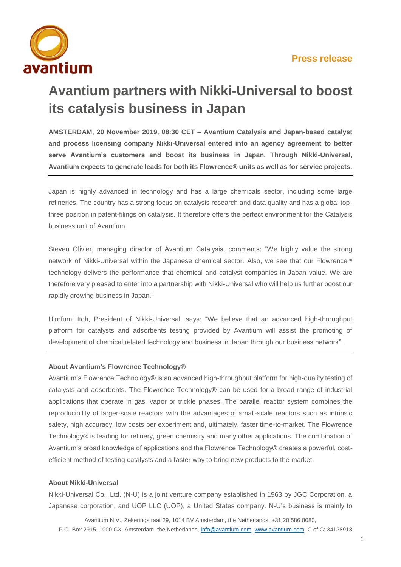

## **Avantium partners with Nikki-Universal to boost its catalysis business in Japan**

**AMSTERDAM, 20 November 2019, 08:30 CET – Avantium Catalysis and Japan-based catalyst and process licensing company Nikki-Universal entered into an agency agreement to better serve Avantium's customers and boost its business in Japan. Through Nikki-Universal, Avantium expects to generate leads for both its Flowrence® units as well as for service projects.**

Japan is highly advanced in technology and has a large chemicals sector, including some large refineries. The country has a strong focus on catalysis research and data quality and has a global topthree position in patent-filings on catalysis. It therefore offers the perfect environment for the Catalysis business unit of Avantium.

Steven Olivier, managing director of Avantium Catalysis, comments: "We highly value the strong network of Nikki-Universal within the Japanese chemical sector. Also, we see that our Flowrence<sup>tm</sup> technology delivers the performance that chemical and catalyst companies in Japan value. We are therefore very pleased to enter into a partnership with Nikki-Universal who will help us further boost our rapidly growing business in Japan."

Hirofumi Itoh, President of Nikki-Universal, says: "We believe that an advanced high-throughput platform for catalysts and adsorbents testing provided by Avantium will assist the promoting of development of chemical related technology and business in Japan through our business network".

## **About Avantium's Flowrence Technology®**

Avantium's Flowrence Technology® is an advanced high-throughput platform for high-quality testing of catalysts and adsorbents. The Flowrence Technology® can be used for a broad range of industrial applications that operate in gas, vapor or trickle phases. The parallel reactor system combines the reproducibility of larger-scale reactors with the advantages of small-scale reactors such as intrinsic safety, high accuracy, low costs per experiment and, ultimately, faster time-to-market. The Flowrence Technology® is leading for refinery, green chemistry and many other applications. The combination of Avantium's broad knowledge of applications and the Flowrence Technology® creates a powerful, costefficient method of testing catalysts and a faster way to bring new products to the market.

## **About Nikki-Universal**

Nikki-Universal Co., Ltd. (N-U) is a joint venture company established in 1963 by JGC Corporation, a Japanese corporation, and UOP LLC (UOP), a United States company. N-U's business is mainly to

Avantium N.V., Zekeringstraat 29, 1014 BV Amsterdam, the Netherlands, +31 20 586 8080, P.O. Box 2915, 1000 CX, Amsterdam, the Netherlands, [info@avantium.com,](mailto:info@avantium.com) [www.avantium.com,](http://www.avantium.com/) C of C: 34138918